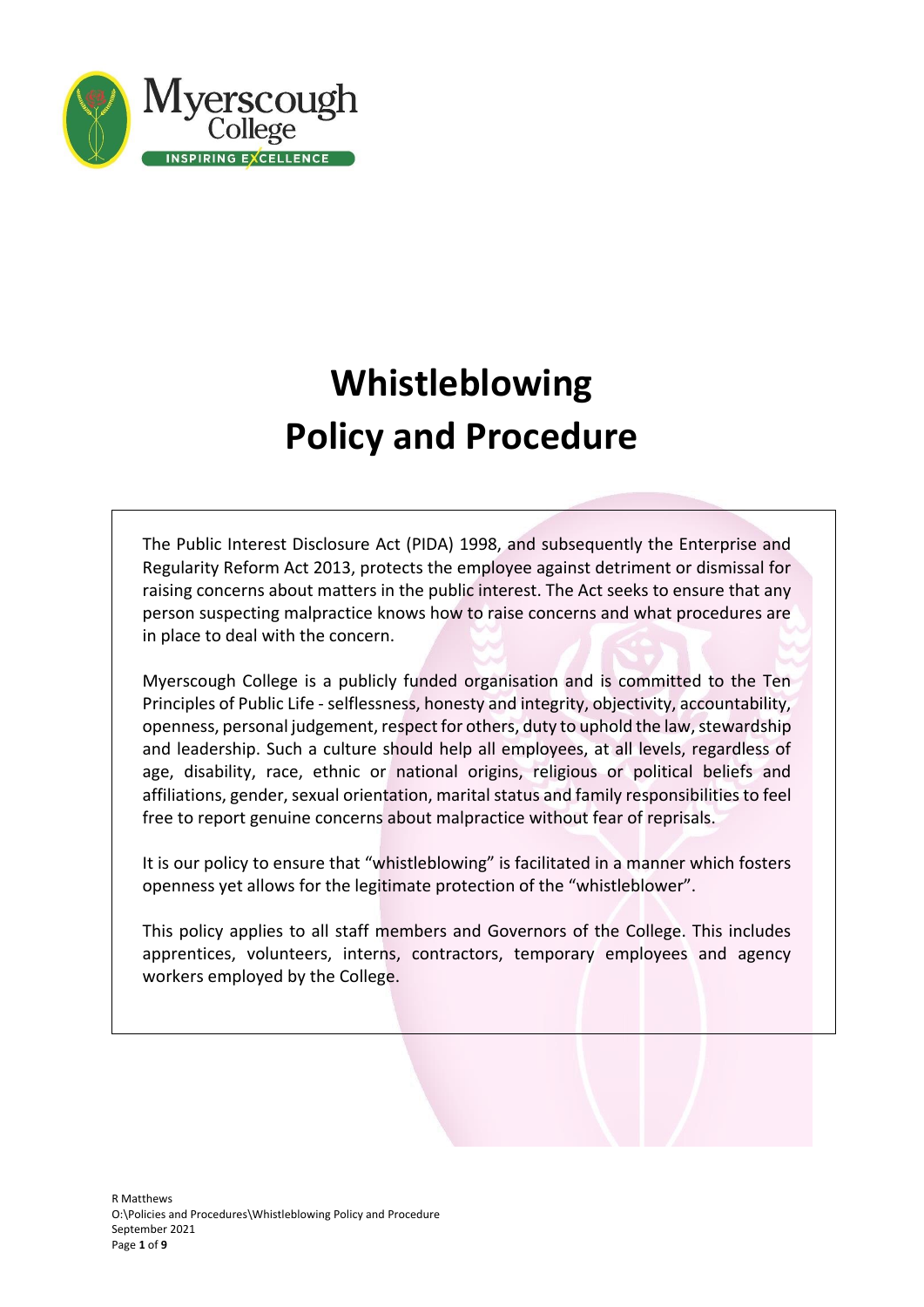

# **Whistleblowing Policy and Procedure**

The Public Interest Disclosure Act (PIDA) 1998, and subsequently the Enterprise and Regularity Reform Act 2013, protects the employee against detriment or dismissal for raising concerns about matters in the public interest. The Act seeks to ensure that any person suspecting malpractice knows how to raise concerns and what procedures are in place to deal with the concern.

Myerscough College is a publicly funded organisation and is committed to the Ten Principles of Public Life - selflessness, honesty and integrity, objectivity, accountability, openness, personal judgement, respect for others, duty to uphold the law, stewardship and leadership. Such a culture should help all employees, at all levels, regardless of age, disability, race, ethnic or national origins, religious or political beliefs and affiliations, gender, sexual orientation, marital status and family responsibilities to feel free to report genuine concerns about malpractice without fear of reprisals.

It is our policy to ensure that "whistleblowing" is facilitated in a manner which fosters openness yet allows for the legitimate protection of the "whistleblower".

This policy applies to all staff members and Governors of the College. This includes apprentices, volunteers, interns, contractors, temporary employees and agency workers employed by the College.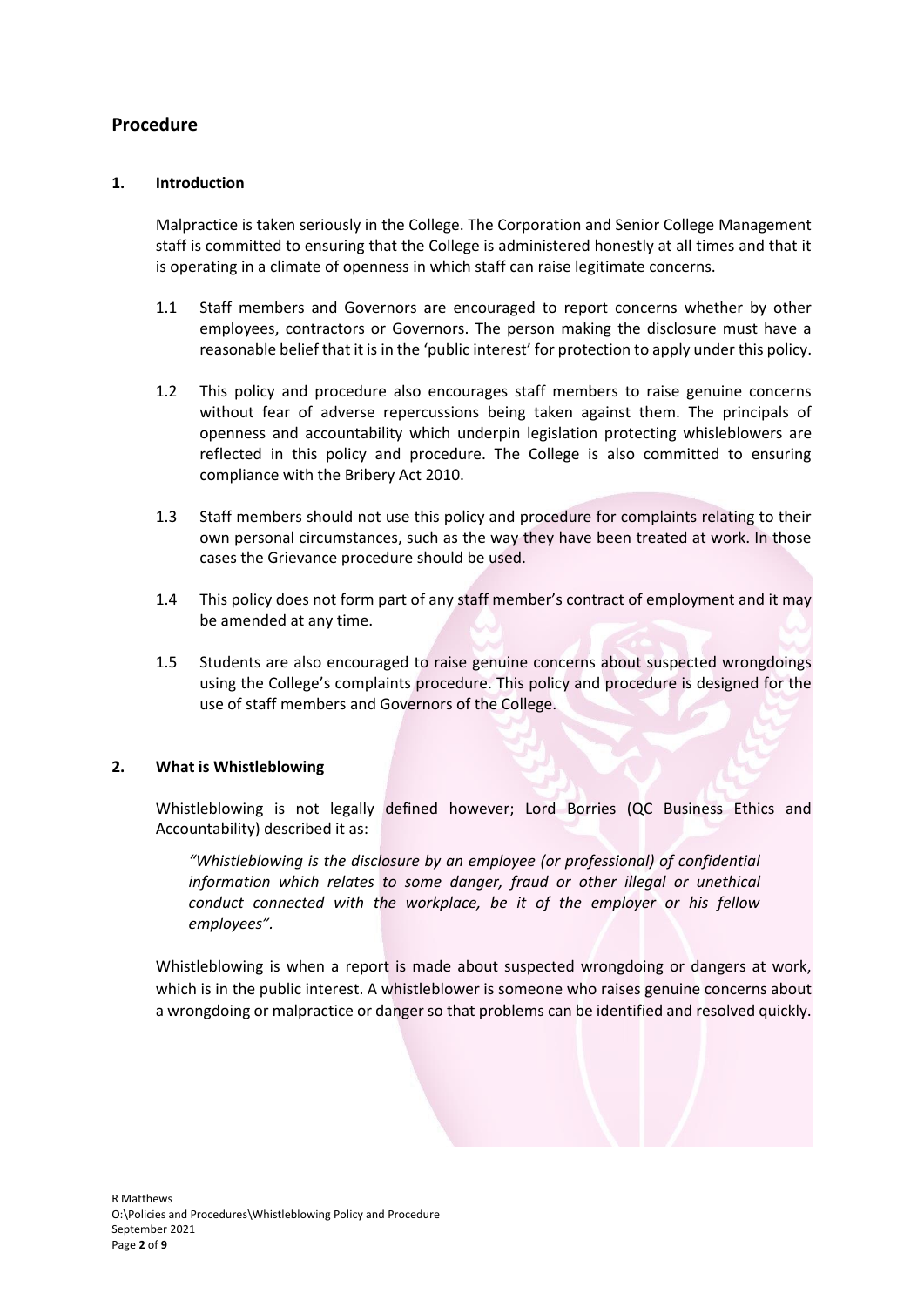# **Procedure**

## **1. Introduction**

Malpractice is taken seriously in the College. The Corporation and Senior College Management staff is committed to ensuring that the College is administered honestly at all times and that it is operating in a climate of openness in which staff can raise legitimate concerns.

- 1.1 Staff members and Governors are encouraged to report concerns whether by other employees, contractors or Governors. The person making the disclosure must have a reasonable belief that it is in the 'public interest' for protection to apply under this policy.
- 1.2 This policy and procedure also encourages staff members to raise genuine concerns without fear of adverse repercussions being taken against them. The principals of openness and accountability which underpin legislation protecting whisleblowers are reflected in this policy and procedure. The College is also committed to ensuring compliance with the Bribery Act 2010.
- 1.3 Staff members should not use this policy and procedure for complaints relating to their own personal circumstances, such as the way they have been treated at work. In those cases the Grievance procedure should be used.
- 1.4 This policy does not form part of any staff member's contract of employment and it may be amended at any time.
- 1.5 Students are also encouraged to raise genuine concerns about suspected wrongdoings using the College's complaints procedure. This policy and procedure is designed for the use of staff members and Governors of the College.

## **2. What is Whistleblowing**

Whistleblowing is not legally defined however; Lord Borries (QC Business Ethics and Accountability) described it as:

*"Whistleblowing is the disclosure by an employee (or professional) of confidential information which relates to some danger, fraud or other illegal or unethical conduct connected with the workplace, be it of the employer or his fellow employees".*

Whistleblowing is when a report is made about suspected wrongdoing or dangers at work, which is in the public interest. A whistleblower is someone who raises genuine concerns about a wrongdoing or malpractice or danger so that problems can be identified and resolved quickly.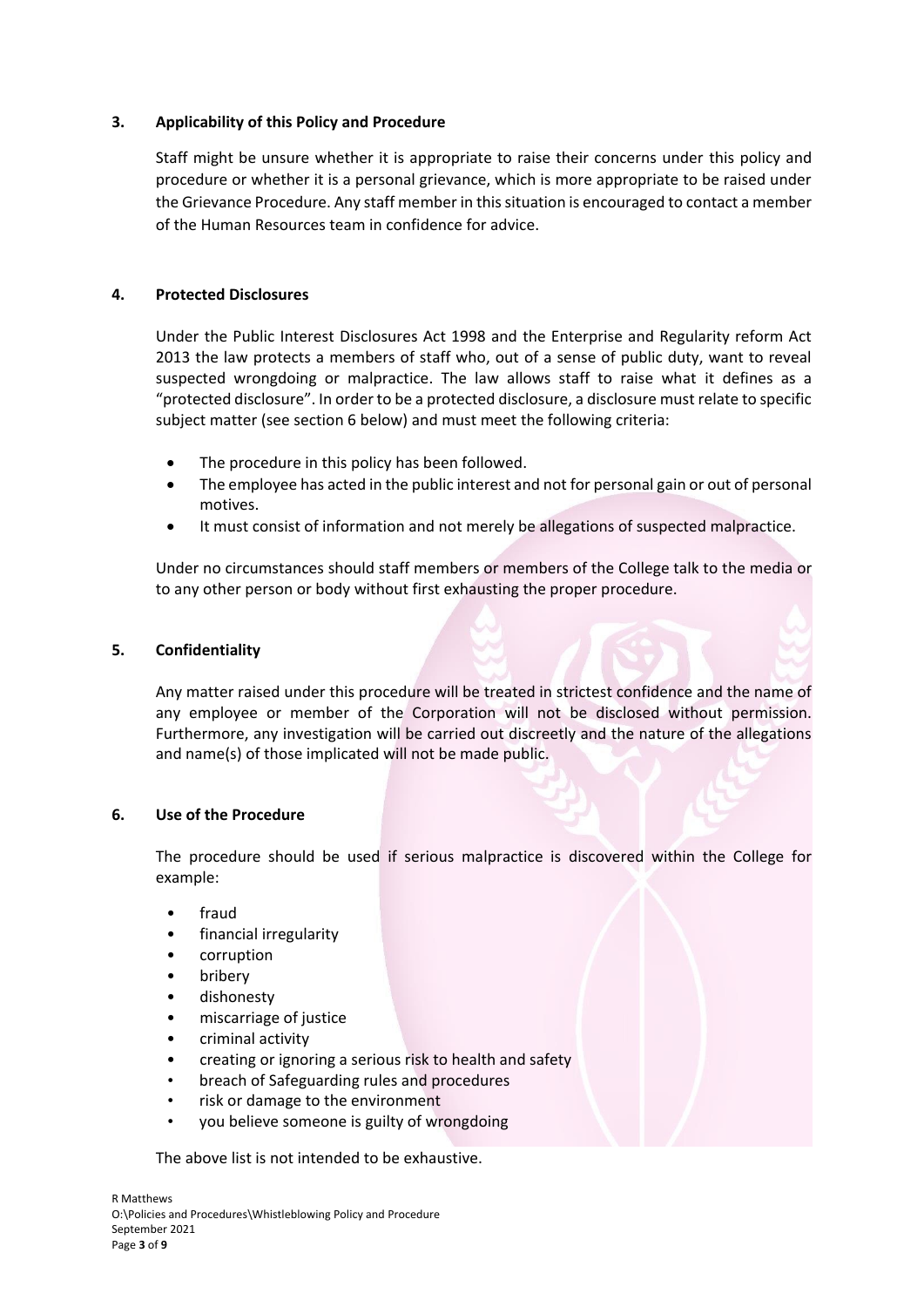# **3. Applicability of this Policy and Procedure**

Staff might be unsure whether it is appropriate to raise their concerns under this policy and procedure or whether it is a personal grievance, which is more appropriate to be raised under the Grievance Procedure. Any staff member in this situation is encouraged to contact a member of the Human Resources team in confidence for advice.

# **4. Protected Disclosures**

Under the Public Interest Disclosures Act 1998 and the Enterprise and Regularity reform Act 2013 the law protects a members of staff who, out of a sense of public duty, want to reveal suspected wrongdoing or malpractice. The law allows staff to raise what it defines as a "protected disclosure". In order to be a protected disclosure, a disclosure must relate to specific subject matter (see section 6 below) and must meet the following criteria:

- The procedure in this policy has been followed.
- The employee has acted in the public interest and not for personal gain or out of personal motives.
- It must consist of information and not merely be allegations of suspected malpractice.

Under no circumstances should staff members or members of the College talk to the media or to any other person or body without first exhausting the proper procedure.

## **5. Confidentiality**

Any matter raised under this procedure will be treated in strictest confidence and the name of any employee or member of the Corporation will not be disclosed without permission. Furthermore, any investigation will be carried out discreetly and the nature of the allegations and name(s) of those implicated will not be made public.

## **6. Use of the Procedure**

The procedure should be used if serious malpractice is discovered within the College for example:

- fraud
- financial irregularity
- corruption
- **bribery**
- dishonesty
- miscarriage of justice
- criminal activity
- creating or ignoring a serious risk to health and safety
- breach of Safeguarding rules and procedures
- risk or damage to the environment
- you believe someone is guilty of wrongdoing

The above list is not intended to be exhaustive.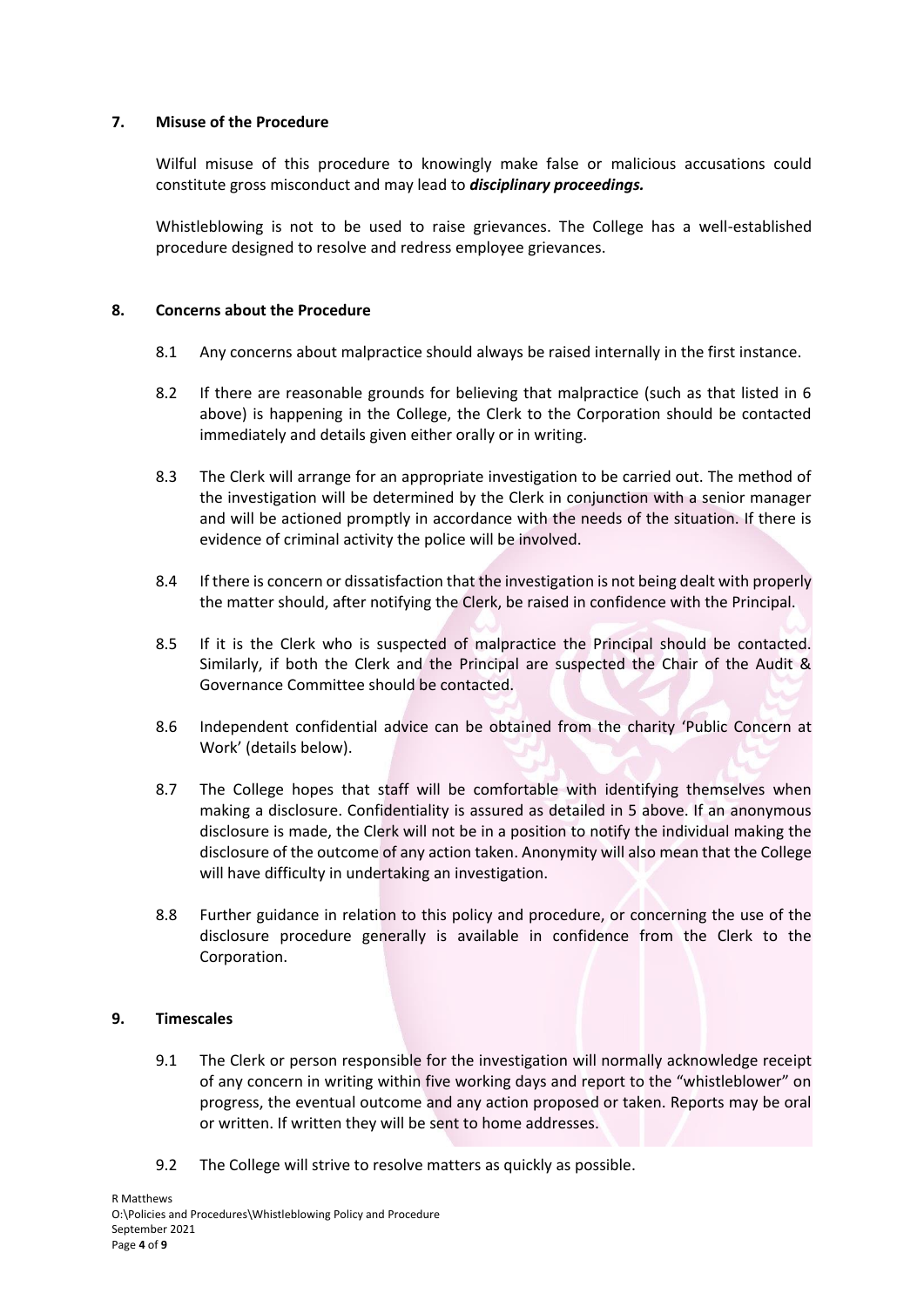## **7. Misuse of the Procedure**

Wilful misuse of this procedure to knowingly make false or malicious accusations could constitute gross misconduct and may lead to *disciplinary proceedings.* 

Whistleblowing is not to be used to raise grievances. The College has a well-established procedure designed to resolve and redress employee grievances.

# **8. Concerns about the Procedure**

- 8.1 Any concerns about malpractice should always be raised internally in the first instance.
- 8.2 If there are reasonable grounds for believing that malpractice (such as that listed in 6 above) is happening in the College, the Clerk to the Corporation should be contacted immediately and details given either orally or in writing.
- 8.3 The Clerk will arrange for an appropriate investigation to be carried out. The method of the investigation will be determined by the Clerk in conjunction with a senior manager and will be actioned promptly in accordance with the needs of the situation. If there is evidence of criminal activity the police will be involved.
- 8.4 If there is concern or dissatisfaction that the investigation is not being dealt with properly the matter should, after notifying the Clerk, be raised in confidence with the Principal.
- 8.5 If it is the Clerk who is suspected of malpractice the Principal should be contacted. Similarly, if both the Clerk and the Principal are suspected the Chair of the Audit & Governance Committee should be contacted.
- 8.6 Independent confidential advice can be obtained from the charity 'Public Concern at Work' (details below).
- 8.7 The College hopes that staff will be comfortable with identifying themselves when making a disclosure. Confidentiality is assured as detailed in 5 above. If an anonymous disclosure is made, the Clerk will not be in a position to notify the individual making the disclosure of the outcome of any action taken. Anonymity will also mean that the College will have difficulty in undertaking an investigation.
- 8.8 Further guidance in relation to this policy and procedure, or concerning the use of the disclosure procedure generally is available in confidence from the Clerk to the Corporation.

## **9. Timescales**

- 9.1 The Clerk or person responsible for the investigation will normally acknowledge receipt of any concern in writing within five working days and report to the "whistleblower" on progress, the eventual outcome and any action proposed or taken. Reports may be oral or written. If written they will be sent to home addresses.
- 9.2 The College will strive to resolve matters as quickly as possible.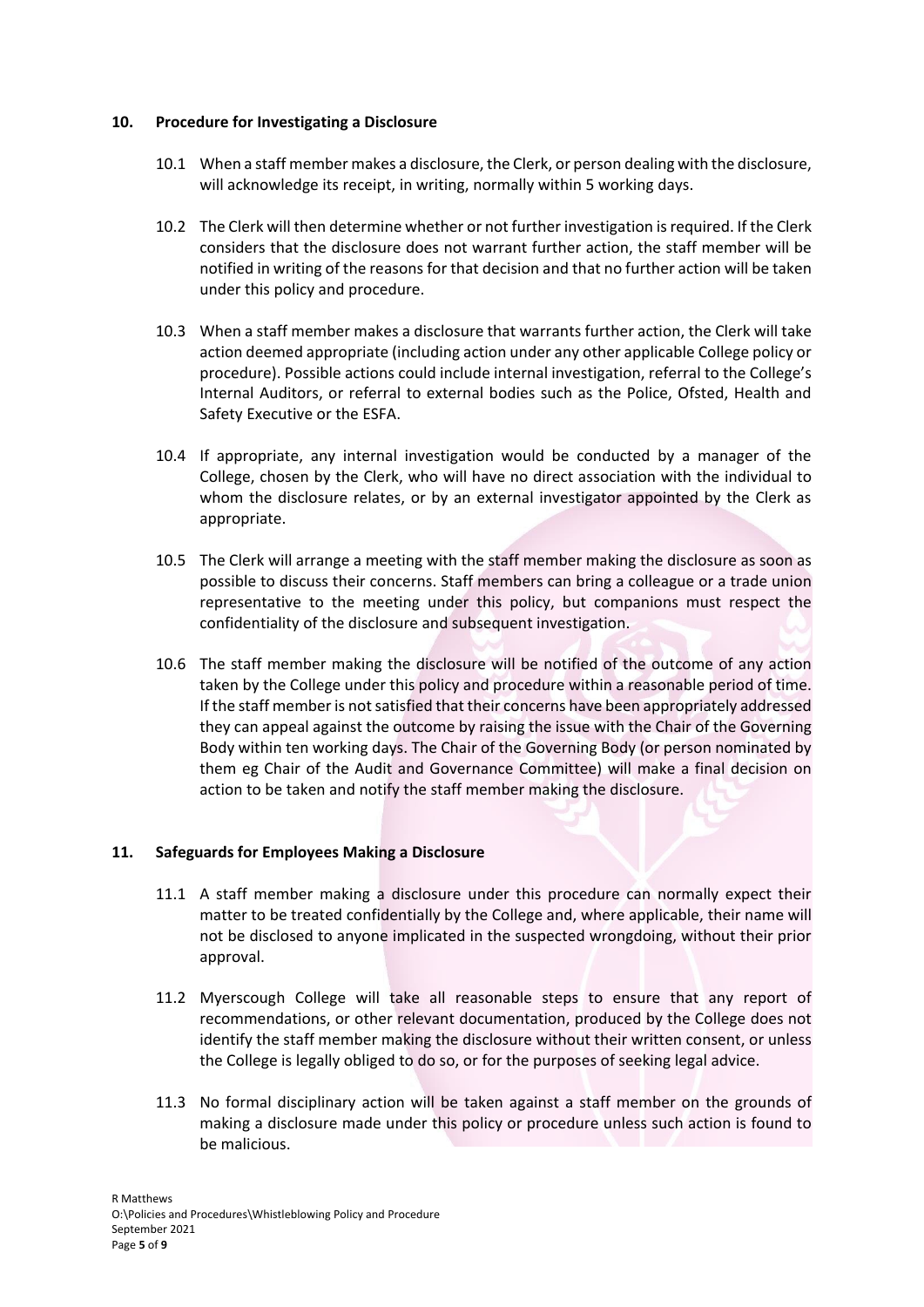# **10. Procedure for Investigating a Disclosure**

- 10.1 When a staff member makes a disclosure, the Clerk, or person dealing with the disclosure, will acknowledge its receipt, in writing, normally within 5 working days.
- 10.2 The Clerk will then determine whether or not further investigation is required. If the Clerk considers that the disclosure does not warrant further action, the staff member will be notified in writing of the reasons for that decision and that no further action will be taken under this policy and procedure.
- 10.3 When a staff member makes a disclosure that warrants further action, the Clerk will take action deemed appropriate (including action under any other applicable College policy or procedure). Possible actions could include internal investigation, referral to the College's Internal Auditors, or referral to external bodies such as the Police, Ofsted, Health and Safety Executive or the ESFA.
- 10.4 If appropriate, any internal investigation would be conducted by a manager of the College, chosen by the Clerk, who will have no direct association with the individual to whom the disclosure relates, or by an external investigator appointed by the Clerk as appropriate.
- 10.5 The Clerk will arrange a meeting with the staff member making the disclosure as soon as possible to discuss their concerns. Staff members can bring a colleague or a trade union representative to the meeting under this policy, but companions must respect the confidentiality of the disclosure and subsequent investigation.
- 10.6 The staff member making the disclosure will be notified of the outcome of any action taken by the College under this policy and procedure within a reasonable period of time. If the staff member is not satisfied that their concerns have been appropriately addressed they can appeal against the outcome by raising the issue with the Chair of the Governing Body within ten working days. The Chair of the Governing Body (or person nominated by them eg Chair of the Audit and Governance Committee) will make a final decision on action to be taken and notify the staff member making the disclosure.

# **11. Safeguards for Employees Making a Disclosure**

- 11.1 A staff member making a disclosure under this procedure can normally expect their matter to be treated confidentially by the College and, where applicable, their name will not be disclosed to anyone implicated in the suspected wrongdoing, without their prior approval.
- 11.2 Myerscough College will take all reasonable steps to ensure that any report of recommendations, or other relevant documentation, produced by the College does not identify the staff member making the disclosure without their written consent, or unless the College is legally obliged to do so, or for the purposes of seeking legal advice.
- 11.3 No formal disciplinary action will be taken against a staff member on the grounds of making a disclosure made under this policy or procedure unless such action is found to be malicious.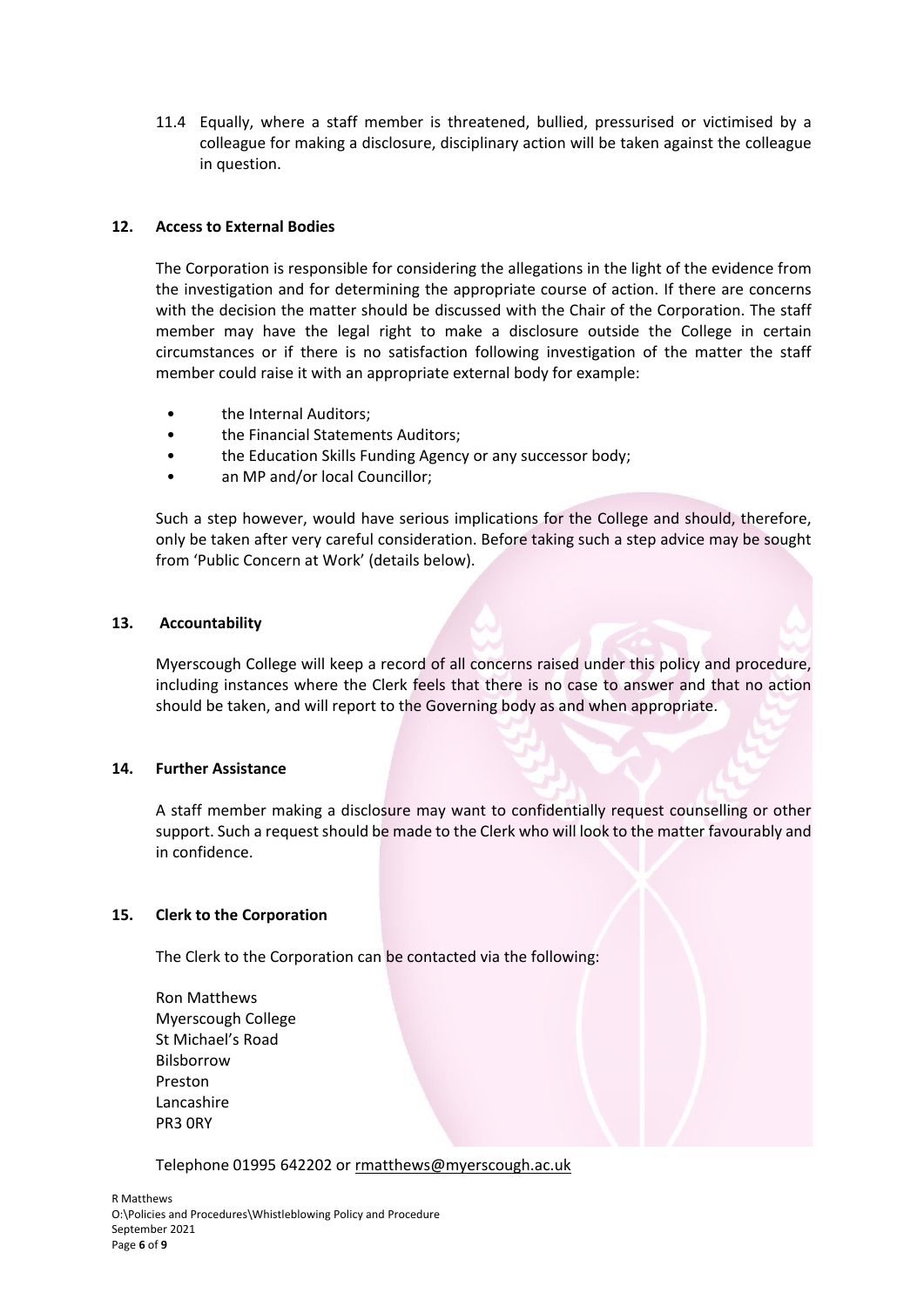11.4 Equally, where a staff member is threatened, bullied, pressurised or victimised by a colleague for making a disclosure, disciplinary action will be taken against the colleague in question.

## **12. Access to External Bodies**

The Corporation is responsible for considering the allegations in the light of the evidence from the investigation and for determining the appropriate course of action. If there are concerns with the decision the matter should be discussed with the Chair of the Corporation. The staff member may have the legal right to make a disclosure outside the College in certain circumstances or if there is no satisfaction following investigation of the matter the staff member could raise it with an appropriate external body for example:

- the Internal Auditors:
- the Financial Statements Auditors;
- the Education Skills Funding Agency or any successor body;
- an MP and/or local Councillor;

Such a step however, would have serious implications for the College and should, therefore, only be taken after very careful consideration. Before taking such a step advice may be sought from 'Public Concern at Work' (details below).

## **13. Accountability**

Myerscough College will keep a record of all concerns raised under this policy and procedure, including instances where the Clerk feels that there is no case to answer and that no action should be taken, and will report to the Governing body as and when appropriate.

## **14. Further Assistance**

A staff member making a disclosure may want to confidentially request counselling or other support. Such a request should be made to the Clerk who will look to the matter favourably and in confidence.

## **15. Clerk to the Corporation**

The Clerk to the Corporation can be contacted via the following:

Ron Matthews Myerscough College St Michael's Road Bilsborrow Preston Lancashire PR3 0RY

Telephone 01995 642202 o[r rmatthews@myerscough.ac.uk](mailto:rmatthews@myerscough.ac.uk)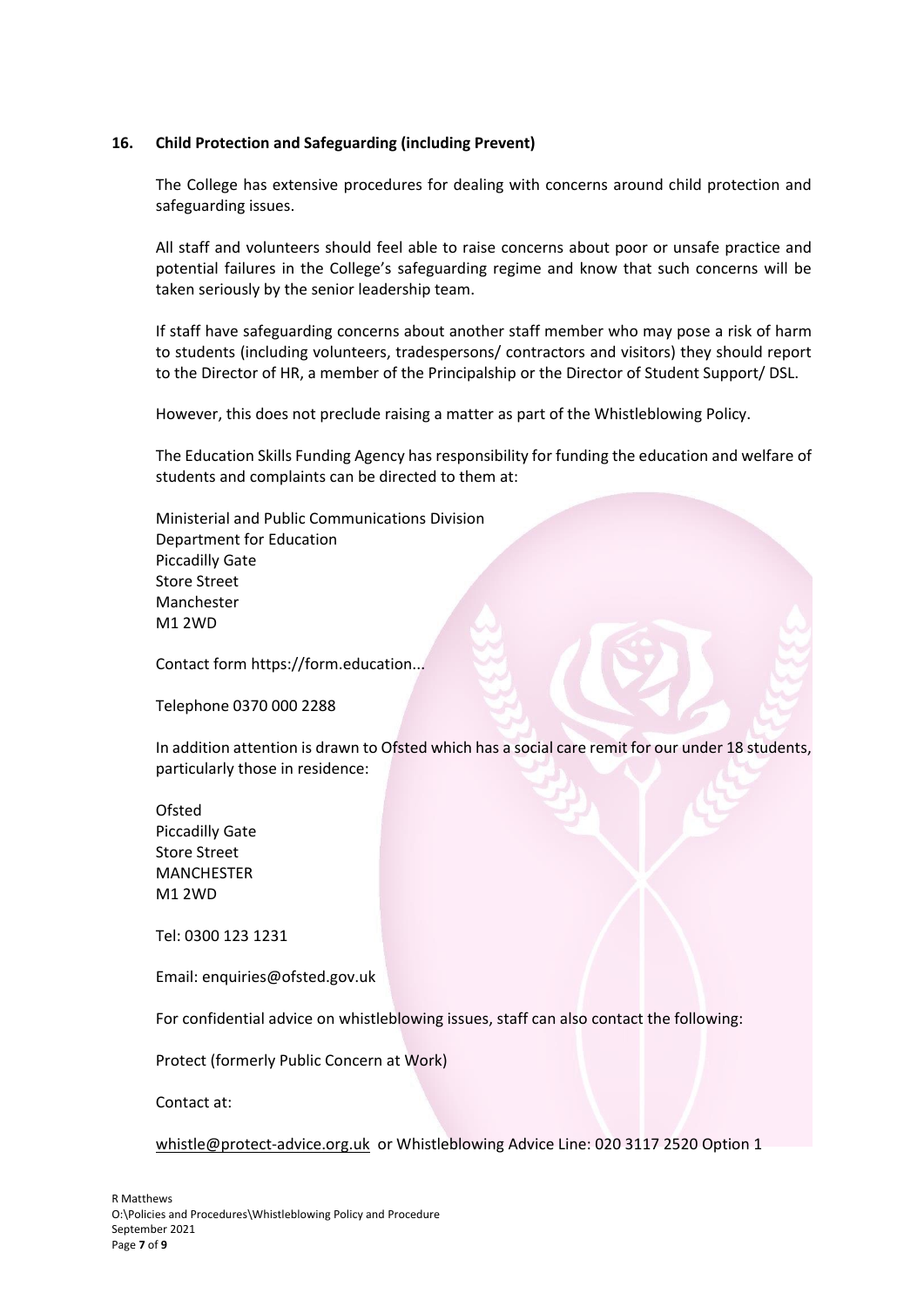## **16. Child Protection and Safeguarding (including Prevent)**

The College has extensive procedures for dealing with concerns around child protection and safeguarding issues.

All staff and volunteers should feel able to raise concerns about poor or unsafe practice and potential failures in the College's safeguarding regime and know that such concerns will be taken seriously by the senior leadership team.

If staff have safeguarding concerns about another staff member who may pose a risk of harm to students (including volunteers, tradespersons/ contractors and visitors) they should report to the Director of HR, a member of the Principalship or the Director of Student Support/ DSL.

However, this does not preclude raising a matter as part of the Whistleblowing Policy.

The Education Skills Funding Agency has responsibility for funding the education and welfare of students and complaints can be directed to them at:

Ministerial and Public Communications Division Department for Education Piccadilly Gate Store Street Manchester M1 2WD

Contact form https://form.education...

Telephone 0370 000 2288

In addition attention is drawn to Ofsted which has a social care remit for our under 18 students, particularly those in residence:

Ofsted Piccadilly Gate Store Street MANCHESTER M1 2WD

Tel: 0300 123 1231

Email: enquiries@ofsted.gov.uk

For confidential advice on whistleblowing issues, staff can also contact the following:

Protect (formerly Public Concern at Work)

Contact at:

[whistle@protect-advice.org.uk](mailto:whistle@protect-advice.org.uk) or Whistleblowing Advice Line: 020 3117 2520 Option 1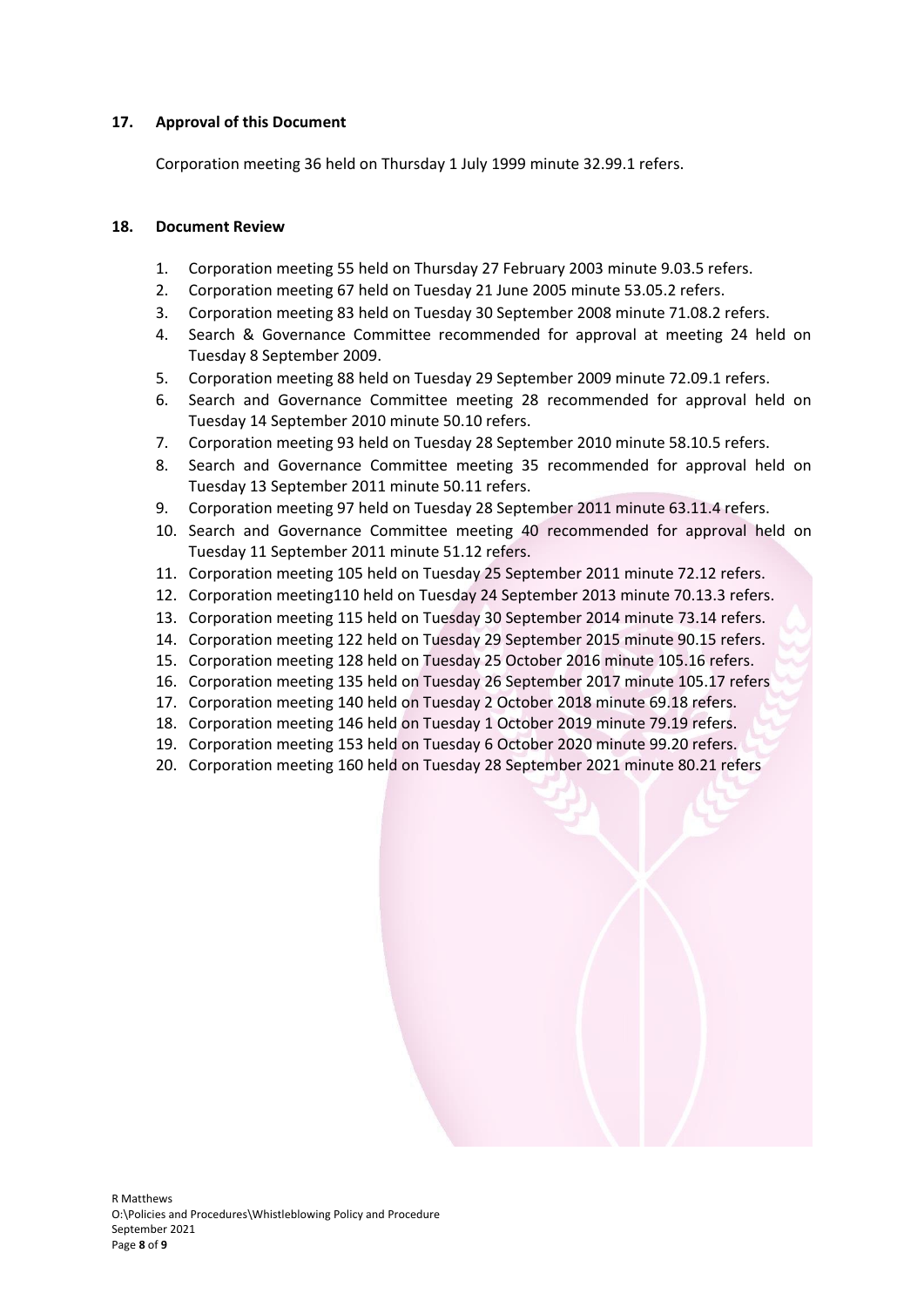# **17. Approval of this Document**

Corporation meeting 36 held on Thursday 1 July 1999 minute 32.99.1 refers.

# **18. Document Review**

- 1. Corporation meeting 55 held on Thursday 27 February 2003 minute 9.03.5 refers.
- 2. Corporation meeting 67 held on Tuesday 21 June 2005 minute 53.05.2 refers.
- 3. Corporation meeting 83 held on Tuesday 30 September 2008 minute 71.08.2 refers.
- 4. Search & Governance Committee recommended for approval at meeting 24 held on Tuesday 8 September 2009.
- 5. Corporation meeting 88 held on Tuesday 29 September 2009 minute 72.09.1 refers.
- 6. Search and Governance Committee meeting 28 recommended for approval held on Tuesday 14 September 2010 minute 50.10 refers.
- 7. Corporation meeting 93 held on Tuesday 28 September 2010 minute 58.10.5 refers.
- 8. Search and Governance Committee meeting 35 recommended for approval held on Tuesday 13 September 2011 minute 50.11 refers.
- 9. Corporation meeting 97 held on Tuesday 28 September 2011 minute 63.11.4 refers.
- 10. Search and Governance Committee meeting 40 recommended for approval held on Tuesday 11 September 2011 minute 51.12 refers.
- 11. Corporation meeting 105 held on Tuesday 25 September 2011 minute 72.12 refers.
- 12. Corporation meeting110 held on Tuesday 24 September 2013 minute 70.13.3 refers.
- 13. Corporation meeting 115 held on Tuesday 30 September 2014 minute 73.14 refers.
- 14. Corporation meeting 122 held on Tuesday 29 September 2015 minute 90.15 refers.
- 15. Corporation meeting 128 held on Tuesday 25 October 2016 minute 105.16 refers.
- 16. Corporation meeting 135 held on Tuesday 26 September 2017 minute 105.17 refers
- 17. Corporation meeting 140 held on Tuesday 2 October 2018 minute 69.18 refers.
- 18. Corporation meeting 146 held on Tuesday 1 October 2019 minute 79.19 refers.
- 19. Corporation meeting 153 held on Tuesday 6 October 2020 minute 99.20 refers.
- 20. Corporation meeting 160 held on Tuesday 28 September 2021 minute 80.21 refers